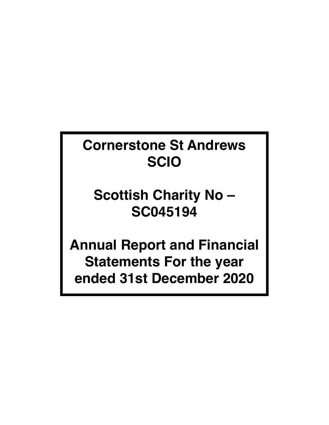# **Cornerstone St Andrews SCIO**

# **Scottish Charity No – SC045194**

**Annual Report and Financial Statements For the year ended 31st December 2020**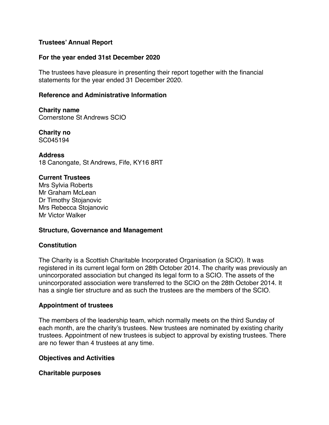## **Trustees' Annual Report**

## **For the year ended 31st December 2020**

The trustees have pleasure in presenting their report together with the financial statements for the year ended 31 December 2020.

### **Reference and Administrative Information**

**Charity name** Cornerstone St Andrews SCIO

**Charity no** SC045194

**Address**

18 Canongate, St Andrews, Fife, KY16 8RT

#### **Current Trustees**

Mrs Sylvia Roberts Mr Graham McLean Dr Timothy Stojanovic Mrs Rebecca Stojanovic Mr Victor Walker

### **Structure, Governance and Management**

### **Constitution**

The Charity is a Scottish Charitable Incorporated Organisation (a SCIO). It was registered in its current legal form on 28th October 2014. The charity was previously an unincorporated association but changed its legal form to a SCIO. The assets of the unincorporated association were transferred to the SCIO on the 28th October 2014. It has a single tier structure and as such the trustees are the members of the SCIO.

### **Appointment of trustees**

The members of the leadership team, which normally meets on the third Sunday of each month, are the charity's trustees. New trustees are nominated by existing charity trustees. Appointment of new trustees is subject to approval by existing trustees. There are no fewer than 4 trustees at any time.

### **Objectives and Activities**

**Charitable purposes**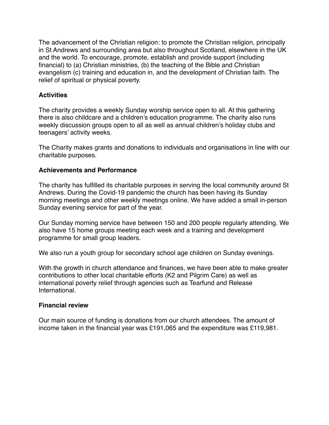The advancement of the Christian religion: to promote the Christian religion, principally in St Andrews and surrounding area but also throughout Scotland, elsewhere in the UK and the world. To encourage, promote, establish and provide support (including financial) to (a) Christian ministries, (b) the teaching of the Bible and Christian evangelism (c) training and education in, and the development of Christian faith. The relief of spiritual or physical poverty.

# **Activities**

The charity provides a weekly Sunday worship service open to all. At this gathering there is also childcare and a children's education programme. The charity also runs weekly discussion groups open to all as well as annual children's holiday clubs and teenagers' activity weeks.

The Charity makes grants and donations to individuals and organisations in line with our charitable purposes.

# **Achievements and Performance**

The charity has fulfilled its charitable purposes in serving the local community around St Andrews. During the Covid-19 pandemic the church has been having its Sunday morning meetings and other weekly meetings online. We have added a small in-person Sunday evening service for part of the year.

Our Sunday morning service have between 150 and 200 people regularly attending. We also have 15 home groups meeting each week and a training and development programme for small group leaders.

We also run a youth group for secondary school age children on Sunday evenings.

With the growth in church attendance and finances, we have been able to make greater contributions to other local charitable efforts (K2 and Pilgrim Care) as well as international poverty relief through agencies such as Tearfund and Release International.

### **Financial review**

Our main source of funding is donations from our church attendees. The amount of income taken in the financial year was £191,065 and the expenditure was £119,981.